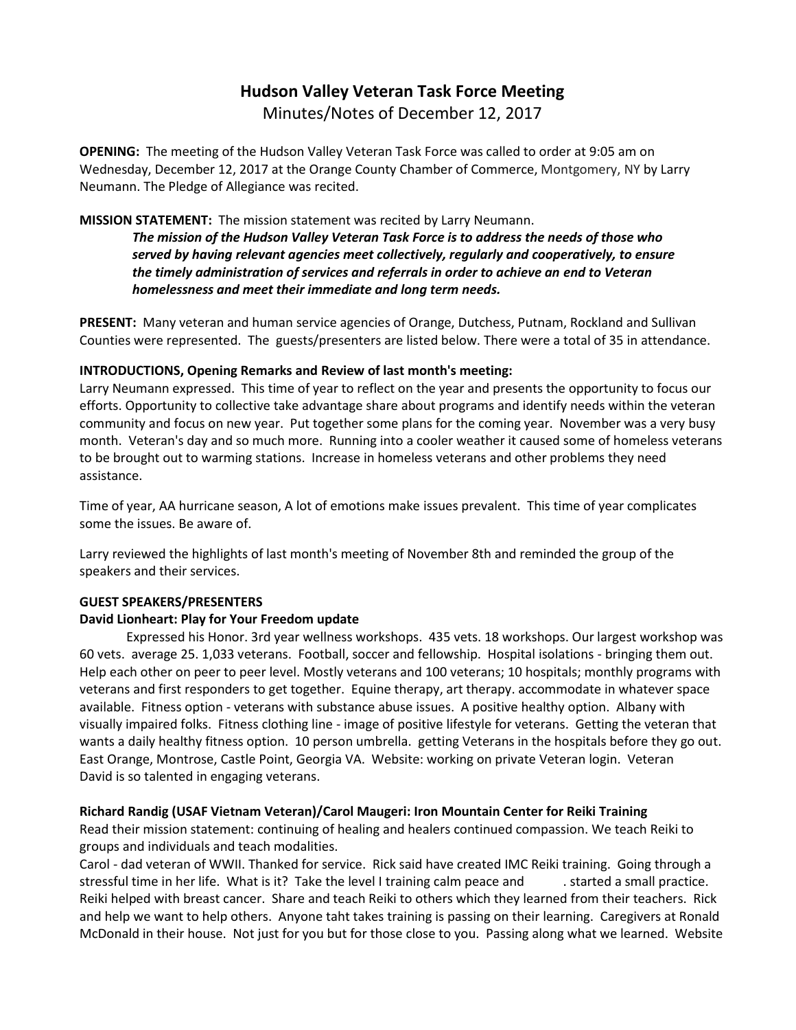# **Hudson Valley Veteran Task Force Meeting**  Minutes/Notes of December 12, 2017

**OPENING:** The meeting of the Hudson Valley Veteran Task Force was called to order at 9:05 am on Wednesday, December 12, 2017 at the Orange County Chamber of Commerce, Montgomery, NY by Larry Neumann. The Pledge of Allegiance was recited.

#### **MISSION STATEMENT:** The mission statement was recited by Larry Neumann.

*The mission of the Hudson Valley Veteran Task Force is to address the needs of those who served by having relevant agencies meet collectively, regularly and cooperatively, to ensure the timely administration of services and referrals in order to achieve an end to Veteran homelessness and meet their immediate and long term needs.* 

**PRESENT:** Many veteran and human service agencies of Orange, Dutchess, Putnam, Rockland and Sullivan Counties were represented. The guests/presenters are listed below. There were a total of 35 in attendance.

#### **INTRODUCTIONS, Opening Remarks and Review of last month's meeting:**

Larry Neumann expressed. This time of year to reflect on the year and presents the opportunity to focus our efforts. Opportunity to collective take advantage share about programs and identify needs within the veteran community and focus on new year. Put together some plans for the coming year. November was a very busy month. Veteran's day and so much more. Running into a cooler weather it caused some of homeless veterans to be brought out to warming stations. Increase in homeless veterans and other problems they need assistance.

Time of year, AA hurricane season, A lot of emotions make issues prevalent. This time of year complicates some the issues. Be aware of.

Larry reviewed the highlights of last month's meeting of November 8th and reminded the group of the speakers and their services.

## **GUEST SPEAKERS/PRESENTERS**

#### **David Lionheart: Play for Your Freedom update**

Expressed his Honor. 3rd year wellness workshops. 435 vets. 18 workshops. Our largest workshop was 60 vets. average 25. 1,033 veterans. Football, soccer and fellowship. Hospital isolations - bringing them out. Help each other on peer to peer level. Mostly veterans and 100 veterans; 10 hospitals; monthly programs with veterans and first responders to get together. Equine therapy, art therapy. accommodate in whatever space available. Fitness option - veterans with substance abuse issues. A positive healthy option. Albany with visually impaired folks. Fitness clothing line - image of positive lifestyle for veterans. Getting the veteran that wants a daily healthy fitness option. 10 person umbrella. getting Veterans in the hospitals before they go out. East Orange, Montrose, Castle Point, Georgia VA. Website: working on private Veteran login. Veteran David is so talented in engaging veterans.

## **Richard Randig (USAF Vietnam Veteran)/Carol Maugeri: Iron Mountain Center for Reiki Training**

Read their mission statement: continuing of healing and healers continued compassion. We teach Reiki to groups and individuals and teach modalities.

Carol - dad veteran of WWII. Thanked for service. Rick said have created IMC Reiki training. Going through a stressful time in her life. What is it? Take the level I training calm peace and . started a small practice. Reiki helped with breast cancer. Share and teach Reiki to others which they learned from their teachers. Rick and help we want to help others. Anyone taht takes training is passing on their learning. Caregivers at Ronald McDonald in their house. Not just for you but for those close to you. Passing along what we learned. Website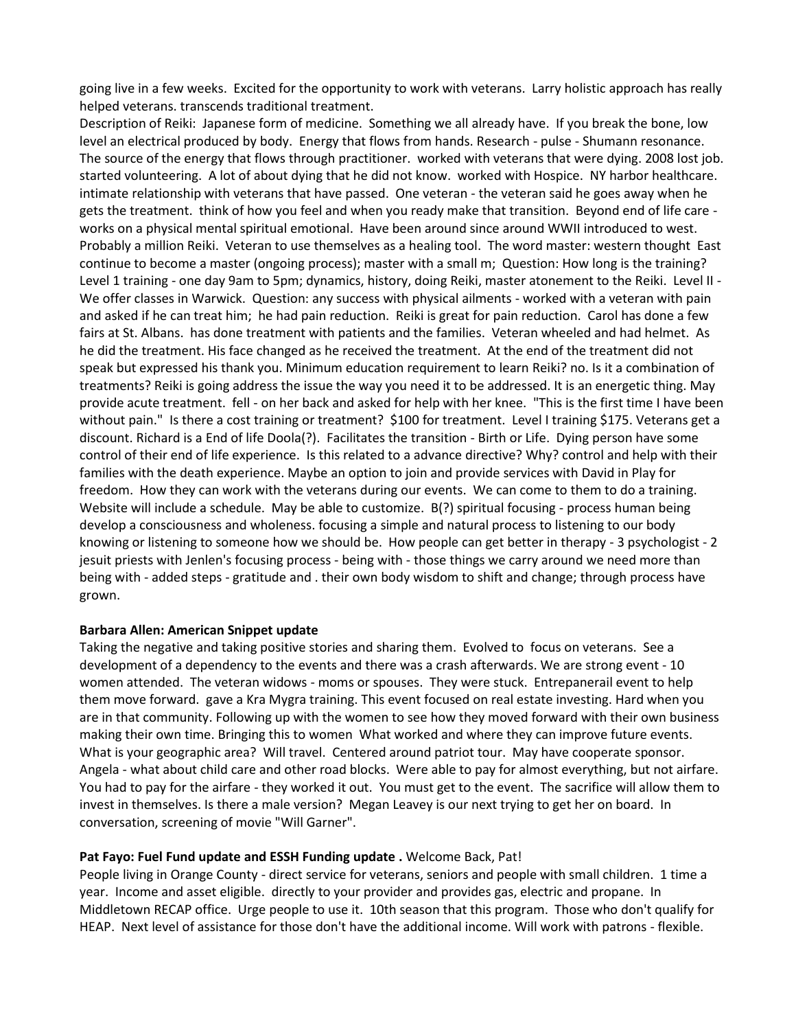going live in a few weeks. Excited for the opportunity to work with veterans. Larry holistic approach has really helped veterans. transcends traditional treatment.

Description of Reiki: Japanese form of medicine. Something we all already have. If you break the bone, low level an electrical produced by body. Energy that flows from hands. Research - pulse - Shumann resonance. The source of the energy that flows through practitioner. worked with veterans that were dying. 2008 lost job. started volunteering. A lot of about dying that he did not know. worked with Hospice. NY harbor healthcare. intimate relationship with veterans that have passed. One veteran - the veteran said he goes away when he gets the treatment. think of how you feel and when you ready make that transition. Beyond end of life care works on a physical mental spiritual emotional. Have been around since around WWII introduced to west. Probably a million Reiki. Veteran to use themselves as a healing tool. The word master: western thought East continue to become a master (ongoing process); master with a small m; Question: How long is the training? Level 1 training - one day 9am to 5pm; dynamics, history, doing Reiki, master atonement to the Reiki. Level II - We offer classes in Warwick. Question: any success with physical ailments - worked with a veteran with pain and asked if he can treat him; he had pain reduction. Reiki is great for pain reduction. Carol has done a few fairs at St. Albans. has done treatment with patients and the families. Veteran wheeled and had helmet. As he did the treatment. His face changed as he received the treatment. At the end of the treatment did not speak but expressed his thank you. Minimum education requirement to learn Reiki? no. Is it a combination of treatments? Reiki is going address the issue the way you need it to be addressed. It is an energetic thing. May provide acute treatment. fell - on her back and asked for help with her knee. "This is the first time I have been without pain." Is there a cost training or treatment? \$100 for treatment. Level I training \$175. Veterans get a discount. Richard is a End of life Doola(?). Facilitates the transition - Birth or Life. Dying person have some control of their end of life experience. Is this related to a advance directive? Why? control and help with their families with the death experience. Maybe an option to join and provide services with David in Play for freedom. How they can work with the veterans during our events. We can come to them to do a training. Website will include a schedule. May be able to customize. B(?) spiritual focusing - process human being develop a consciousness and wholeness. focusing a simple and natural process to listening to our body knowing or listening to someone how we should be. How people can get better in therapy - 3 psychologist - 2 jesuit priests with Jenlen's focusing process - being with - those things we carry around we need more than being with - added steps - gratitude and . their own body wisdom to shift and change; through process have grown.

#### **Barbara Allen: American Snippet update**

Taking the negative and taking positive stories and sharing them. Evolved to focus on veterans. See a development of a dependency to the events and there was a crash afterwards. We are strong event - 10 women attended. The veteran widows - moms or spouses. They were stuck. Entrepanerail event to help them move forward. gave a Kra Mygra training. This event focused on real estate investing. Hard when you are in that community. Following up with the women to see how they moved forward with their own business making their own time. Bringing this to women What worked and where they can improve future events. What is your geographic area? Will travel. Centered around patriot tour. May have cooperate sponsor. Angela - what about child care and other road blocks. Were able to pay for almost everything, but not airfare. You had to pay for the airfare - they worked it out. You must get to the event. The sacrifice will allow them to invest in themselves. Is there a male version? Megan Leavey is our next trying to get her on board. In conversation, screening of movie "Will Garner".

#### **Pat Fayo: Fuel Fund update and ESSH Funding update .** Welcome Back, Pat!

People living in Orange County - direct service for veterans, seniors and people with small children. 1 time a year. Income and asset eligible. directly to your provider and provides gas, electric and propane. In Middletown RECAP office. Urge people to use it. 10th season that this program. Those who don't qualify for HEAP. Next level of assistance for those don't have the additional income. Will work with patrons - flexible.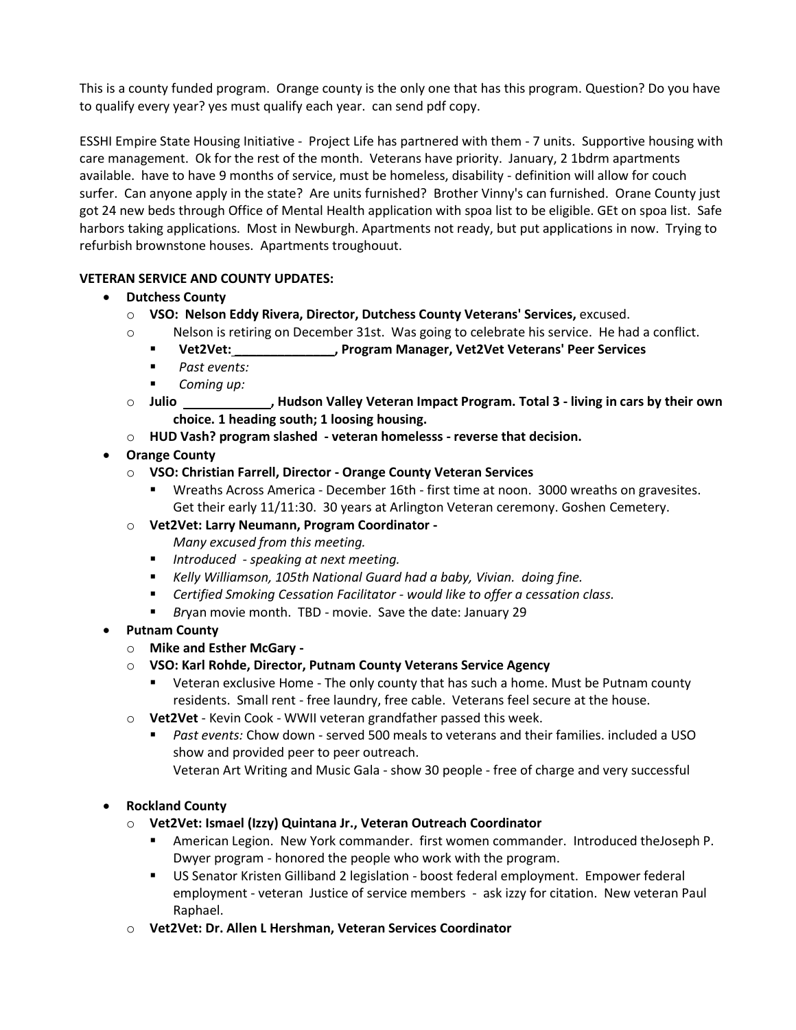This is a county funded program. Orange county is the only one that has this program. Question? Do you have to qualify every year? yes must qualify each year. can send pdf copy.

ESSHI Empire State Housing Initiative - Project Life has partnered with them - 7 units. Supportive housing with care management. Ok for the rest of the month. Veterans have priority. January, 2 1bdrm apartments available. have to have 9 months of service, must be homeless, disability - definition will allow for couch surfer. Can anyone apply in the state? Are units furnished? Brother Vinny's can furnished. Orane County just got 24 new beds through Office of Mental Health application with spoa list to be eligible. GEt on spoa list. Safe harbors taking applications. Most in Newburgh. Apartments not ready, but put applications in now. Trying to refurbish brownstone houses. Apartments troughouut.

### **VETERAN SERVICE AND COUNTY UPDATES:**

- **Dutchess County**
	- o **VSO: Nelson Eddy Rivera, Director, Dutchess County Veterans' Services,** excused.
	- o Nelson is retiring on December 31st. Was going to celebrate his service. He had a conflict.
		- **Vet2Vet: \_\_\_\_\_\_\_\_\_\_\_\_\_\_, Program Manager, Vet2Vet Veterans' Peer Services**
		- *Past events:*
		- *Coming up:*
	- o **Julio , Hudson Valley Veteran Impact Program. Total 3 - living in cars by their own choice. 1 heading south; 1 loosing housing.**
	- o **HUD Vash? program slashed - veteran homelesss - reverse that decision.**
- **Orange County**
	- o **VSO: Christian Farrell, Director - Orange County Veteran Services**
		- Wreaths Across America December 16th first time at noon. 3000 wreaths on gravesites. Get their early 11/11:30. 30 years at Arlington Veteran ceremony. Goshen Cemetery.
	- o **Vet2Vet: Larry Neumann, Program Coordinator -**

*Many excused from this meeting.* 

- *Introduced - speaking at next meeting.*
- Kelly Williamson, 105th National Guard had a baby, Vivian. doing fine.
- *Certified Smoking Cessation Facilitator would like to offer a cessation class.*
- *Br*yan movie month. TBD movie. Save the date: January 29
- **Putnam County**
	- o **Mike and Esther McGary -**
	- o **VSO: Karl Rohde, Director, Putnam County Veterans Service Agency**
		- Veteran exclusive Home The only county that has such a home. Must be Putnam county residents. Small rent - free laundry, free cable. Veterans feel secure at the house.
	- o **Vet2Vet** Kevin Cook WWII veteran grandfather passed this week.
		- Past events: Chow down served 500 meals to veterans and their families. included a USO show and provided peer to peer outreach. Veteran Art Writing and Music Gala - show 30 people - free of charge and very successful

## • **Rockland County**

- o **Vet2Vet: Ismael (Izzy) Quintana Jr., Veteran Outreach Coordinator**
	- American Legion. New York commander. first women commander. Introduced theJoseph P. Dwyer program - honored the people who work with the program.
	- **US Senator Kristen Gilliband 2 legislation boost federal employment. Empower federal** employment - veteran Justice of service members - ask izzy for citation. New veteran Paul Raphael.
- o **Vet2Vet: Dr. Allen L Hershman, Veteran Services Coordinator**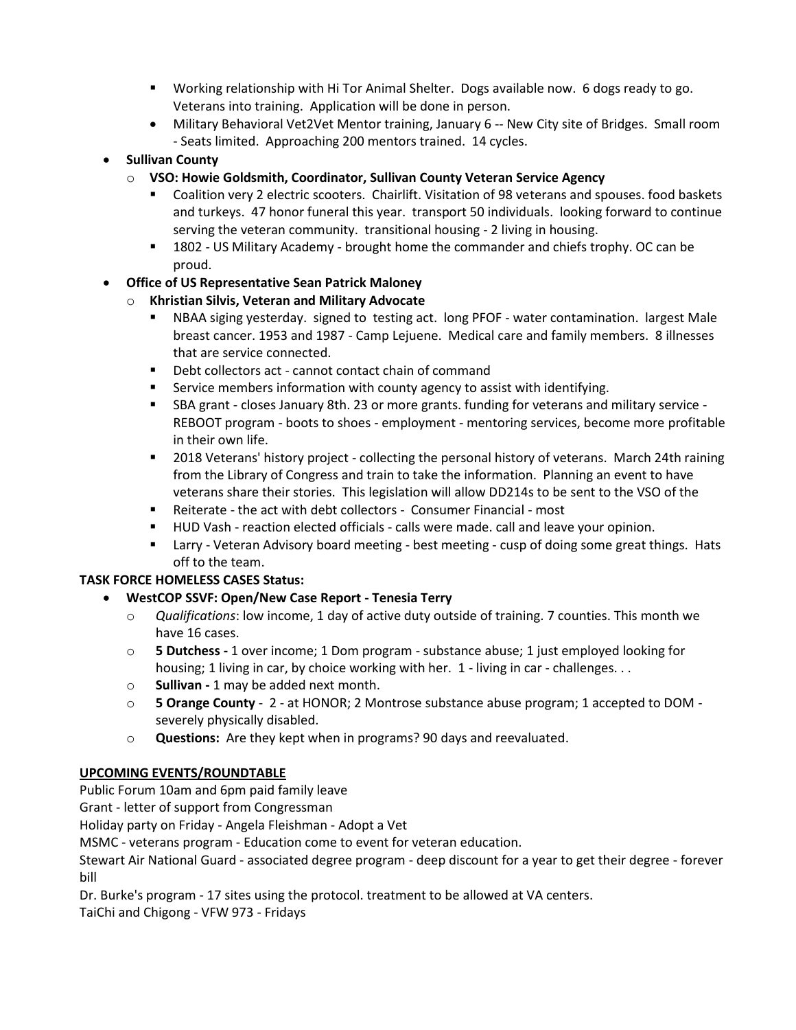- Working relationship with Hi Tor Animal Shelter. Dogs available now. 6 dogs ready to go. Veterans into training. Application will be done in person.
- Military Behavioral Vet2Vet Mentor training, January 6 -- New City site of Bridges. Small room - Seats limited. Approaching 200 mentors trained. 14 cycles.
- **Sullivan County**
	- o **VSO: Howie Goldsmith, Coordinator, Sullivan County Veteran Service Agency**
		- Coalition very 2 electric scooters. Chairlift. Visitation of 98 veterans and spouses. food baskets and turkeys. 47 honor funeral this year. transport 50 individuals. looking forward to continue serving the veteran community. transitional housing - 2 living in housing.
		- 1802 US Military Academy brought home the commander and chiefs trophy. OC can be proud.

## • **Office of US Representative Sean Patrick Maloney**

- o **Khristian Silvis, Veteran and Military Advocate**
	- NBAA siging yesterday. signed to testing act. long PFOF water contamination. largest Male breast cancer. 1953 and 1987 - Camp Lejuene. Medical care and family members. 8 illnesses that are service connected.
	- Debt collectors act cannot contact chain of command
	- Service members information with county agency to assist with identifying.
	- SBA grant closes January 8th. 23 or more grants. funding for veterans and military service -REBOOT program - boots to shoes - employment - mentoring services, become more profitable in their own life.
	- 2018 Veterans' history project collecting the personal history of veterans. March 24th raining from the Library of Congress and train to take the information. Planning an event to have veterans share their stories. This legislation will allow DD214s to be sent to the VSO of the
	- Reiterate the act with debt collectors Consumer Financial most
	- HUD Vash reaction elected officials calls were made. call and leave your opinion.
	- Larry Veteran Advisory board meeting best meeting cusp of doing some great things. Hats off to the team.

## **TASK FORCE HOMELESS CASES Status:**

## • **WestCOP SSVF: Open/New Case Report - Tenesia Terry**

- o *Qualifications*: low income, 1 day of active duty outside of training. 7 counties. This month we have 16 cases.
- o **5 Dutchess -** 1 over income; 1 Dom program substance abuse; 1 just employed looking for housing; 1 living in car, by choice working with her. 1 - living in car - challenges...
- o **Sullivan -** 1 may be added next month.
- o **5 Orange County** 2 at HONOR; 2 Montrose substance abuse program; 1 accepted to DOM severely physically disabled.
- o **Questions:** Are they kept when in programs? 90 days and reevaluated.

# **UPCOMING EVENTS/ROUNDTABLE**

Public Forum 10am and 6pm paid family leave

Grant - letter of support from Congressman

Holiday party on Friday - Angela Fleishman - Adopt a Vet

MSMC - veterans program - Education come to event for veteran education.

Stewart Air National Guard - associated degree program - deep discount for a year to get their degree - forever bill

Dr. Burke's program - 17 sites using the protocol. treatment to be allowed at VA centers.

TaiChi and Chigong - VFW 973 - Fridays